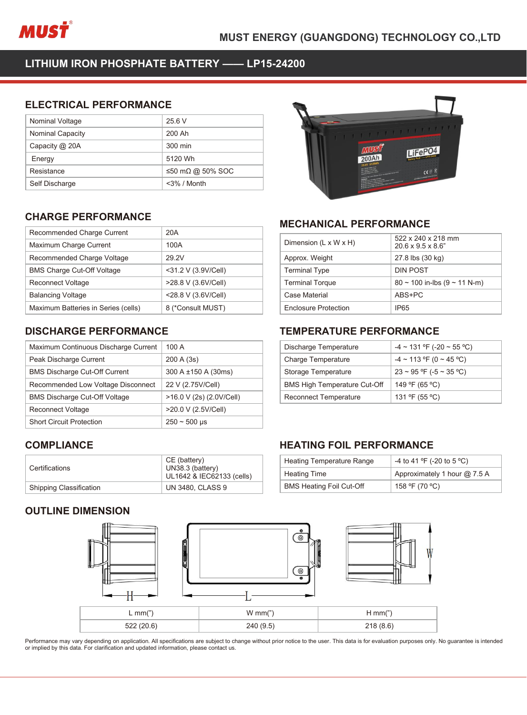

| nusť                                         |                  | <b>MUST ENERGY (GUAN</b> |
|----------------------------------------------|------------------|--------------------------|
| LITHIUM IRON PHOSPHATE BATTERY -- LP15-24200 |                  |                          |
| <b>ELECTRICAL PERFORMANCE</b>                |                  |                          |
| Nominal Voltage                              | 25.6 V           |                          |
| Nominal Capacity                             | 200 Ah           |                          |
| Capacity @ 20A                               | 300 min          |                          |
| Energy                                       | 5120 Wh          |                          |
| Resistance                                   | ≤50 mΩ @ 50% SOC |                          |
| Self Discharge                               | <3% / Month      |                          |
| <b>CHARGE PERFORMANCE</b>                    |                  | <b>MECHANIC</b>          |
|                                              |                  |                          |
| Recommended Charge Current                   | 20A              |                          |
| Maximum Charge Current                       | 100A             | Dimension (L x           |
| Recommended Charge Voltage                   | 29.2V            | Approx. Weigh            |

| Capacity @ 20A                                        | 300 min             |                |
|-------------------------------------------------------|---------------------|----------------|
| Energy                                                | 5120 Wh             |                |
| Resistance                                            | ≤50 mΩ @ 50% SOC    |                |
| Self Discharge                                        | <3% / Month         |                |
|                                                       |                     |                |
| <b>CHARGE PERFORMANCE</b>                             |                     | <b>MECH</b>    |
| Recommended Charge Current                            | 20A                 |                |
| Maximum Charge Current                                | 100A                | Dimensi        |
| Recommended Charge Voltage                            | 29.2V               | Approx.        |
| <b>BMS Charge Cut-Off Voltage</b>                     | <31.2 V (3.9V/Cell) | Termina        |
| <b>Reconnect Voltage</b>                              | >28.8 V (3.6V/Cell) | Termina        |
| <b>Balancing Voltage</b>                              | <28.8 V (3.6V/Cell) | Case Ma        |
| Maximum Batteries in Series (cells)                   | 8 (*Consult MUST)   | Enclosu        |
|                                                       |                     |                |
| <b>DISCHARGE PERFORMANCE</b>                          |                     | <b>TEMPI</b>   |
| Maximum Continuous Discharge Current                  | 100 A               | Dischar        |
| Peak Discharge Current                                | 200 A (3s)          | Charge         |
| <b>BMS Discharge Cut-Off Current</b>                  | 300 A ±150 A (30ms) | Storage        |
| Recommended Low Voltage Disconnect                    | 22 V (2.75V/Cell)   | <b>BMS Hie</b> |
| $DMO$ $D'$ is the same $Q$ of $Q$ $H$ $Q$ $H$ $Q$ $H$ | 10.011(0.1000100    | <b>D</b>       |

| <b>BMS Charge Cut-Off Voltage</b>    | <31.2 V (3.9V/Cell)                                           | <b>Terminal Type</b>                          |
|--------------------------------------|---------------------------------------------------------------|-----------------------------------------------|
| <b>Reconnect Voltage</b>             | >28.8 V (3.6V/Cell)                                           | <b>Terminal Torque</b>                        |
| <b>Balancing Voltage</b>             | <28.8 V (3.6V/Cell)                                           | Case Material                                 |
| Maximum Batteries in Series (cells)  | 8 (*Consult MUST)                                             | <b>Enclosure Protect</b>                      |
| <b>DISCHARGE PERFORMANCE</b>         |                                                               | TEMPERATL                                     |
| Maximum Continuous Discharge Current | 100 A                                                         | Discharge Tempe                               |
| Peak Discharge Current               | 200 A (3s)                                                    | <b>Charge Temperat</b>                        |
| <b>BMS Discharge Cut-Off Current</b> | 300 A ±150 A (30ms)                                           | Storage Tempera                               |
| Recommended Low Voltage Disconnect   | 22 V (2.75V/Cell)                                             | <b>BMS High Tempe</b>                         |
| <b>BMS Discharge Cut-Off Voltage</b> | >16.0 V (2s) (2.0V/Cell)                                      | Reconnect Temp                                |
| <b>Reconnect Voltage</b>             | >20.0 V (2.5V/Cell)                                           |                                               |
| <b>Short Circuit Protection</b>      | $250 - 500$ µs                                                |                                               |
| <b>COMPLIANCE</b>                    |                                                               | <b>HEATING FC</b>                             |
| Certifications                       | CE (battery)<br>UN38.3 (battery)<br>UL1642 & IEC62133 (cells) | <b>Heating Tempera</b><br><b>Heating Time</b> |
| Shipping Classification              | <b>UN 3480, CLASS 9</b>                                       | <b>BMS Heating Foil</b>                       |
| <b>OUTLINE DIMENSION</b>             |                                                               | $\bullet$<br>$\odot$                          |

# **COMPLIANCE**

| Certifications                 | CE (battery)<br>UN38.3 (battery)<br>UL1642 & IEC62133 (cells) |
|--------------------------------|---------------------------------------------------------------|
| <b>Shipping Classification</b> | <b>UN 3480, CLASS 9</b>                                       |





| <b>MECHANICAL PERFORMANCE</b>       |                                         |
|-------------------------------------|-----------------------------------------|
| Dimension (L x W x H)               | 522 x 240 x 218 mm<br>20.6 x 9.5 x 8.6" |
| Approx. Weight                      | 27.8 lbs (30 kg)                        |
| <b>Terminal Type</b>                | <b>DIN POST</b>                         |
| <b>Terminal Torque</b>              | $80 \sim 100$ in-lbs (9 ~ 11 N-m)       |
| <b>Case Material</b>                | ABS+PC                                  |
| <b>Enclosure Protection</b>         | IP65                                    |
| <b>TEMPERATURE PERFORMANCE</b>      |                                         |
| Discharge Temperature               | $-4 \sim 131$ °F (-20 ~ 55 °C)          |
| <b>Charge Temperature</b>           | $-4 \sim 113$ °F (0 ~ 45 °C)            |
| Storage Temperature                 | $23 \sim 95$ °F (-5 $\sim 35$ °C)       |
| <b>BMS High Temperature Cut-Off</b> | 149 °F (65 °C)                          |
|                                     | $1010F$ $F$ $0$                         |

| <b>Terminal Torque</b>              | $80 \sim 100$ in-lbs (9 ~ 11 N-m) |
|-------------------------------------|-----------------------------------|
| Case Material                       | ABS+PC                            |
| <b>Enclosure Protection</b>         | IP <sub>65</sub>                  |
|                                     |                                   |
| <b>TEMPERATURE PERFORMANCE</b>      |                                   |
| Discharge Temperature               | $-4 \sim 131$ °F (-20 ~ 55 °C)    |
| <b>Charge Temperature</b>           | $-4 \sim 113$ °F (0 ~ 45 °C)      |
| Storage Temperature                 | $23 \sim 95$ °F (-5 ~ 35 °C)      |
| <b>BMS High Temperature Cut-Off</b> | 149 °F (65 °C)                    |
| <b>Reconnect Temperature</b>        | 131 °F (55 °C)                    |

| <b>Storage Temperature</b>          | $23 \sim 95$ °F (-5 ~ 35 °C) |
|-------------------------------------|------------------------------|
| <b>BMS High Temperature Cut-Off</b> | 149 °F (65 °C)               |
| <b>Reconnect Temperature</b>        | 131 ºF (55 °C)               |
|                                     |                              |
|                                     |                              |
| <b>HEATING FOIL PERFORMANCE</b>     |                              |
| Heating Temperature Range           | -4 to 41 °F (-20 to 5 °C)    |
| <b>Heating Time</b>                 | Approximately 1 hour @ 7.5 A |